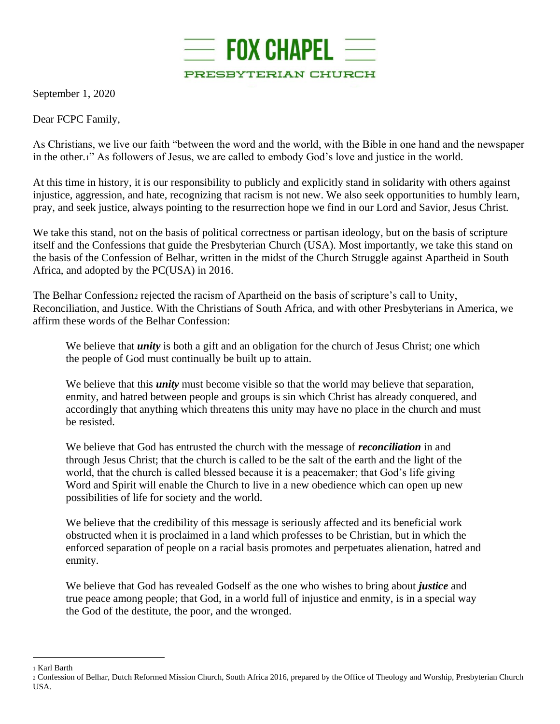

September 1, 2020

Dear FCPC Family,

As Christians, we live our faith "between the word and the world, with the Bible in one hand and the newspaper in the other.1" As followers of Jesus, we are called to embody God's love and justice in the world.

At this time in history, it is our responsibility to publicly and explicitly stand in solidarity with others against injustice, aggression, and hate, recognizing that racism is not new. We also seek opportunities to humbly learn, pray, and seek justice, always pointing to the resurrection hope we find in our Lord and Savior, Jesus Christ.

We take this stand, not on the basis of political correctness or partisan ideology, but on the basis of scripture itself and the Confessions that guide the Presbyterian Church (USA). Most importantly, we take this stand on the basis of the Confession of Belhar, written in the midst of the Church Struggle against Apartheid in South Africa, and adopted by the PC(USA) in 2016.

The Belhar Confession<sub>2</sub> rejected the racism of Apartheid on the basis of scripture's call to Unity, Reconciliation, and Justice. With the Christians of South Africa, and with other Presbyterians in America, we affirm these words of the Belhar Confession:

We believe that *unity* is both a gift and an obligation for the church of Jesus Christ; one which the people of God must continually be built up to attain.

We believe that this *unity* must become visible so that the world may believe that separation, enmity, and hatred between people and groups is sin which Christ has already conquered, and accordingly that anything which threatens this unity may have no place in the church and must be resisted.

We believe that God has entrusted the church with the message of *reconciliation* in and through Jesus Christ; that the church is called to be the salt of the earth and the light of the world, that the church is called blessed because it is a peacemaker; that God's life giving Word and Spirit will enable the Church to live in a new obedience which can open up new possibilities of life for society and the world.

We believe that the credibility of this message is seriously affected and its beneficial work obstructed when it is proclaimed in a land which professes to be Christian, but in which the enforced separation of people on a racial basis promotes and perpetuates alienation, hatred and enmity.

We believe that God has revealed Godself as the one who wishes to bring about *justice* and true peace among people; that God, in a world full of injustice and enmity, is in a special way the God of the destitute, the poor, and the wronged.

<sup>1</sup> Karl Barth

<sup>2</sup> Confession of Belhar, Dutch Reformed Mission Church, South Africa 2016, prepared by the Office of Theology and Worship, Presbyterian Church USA.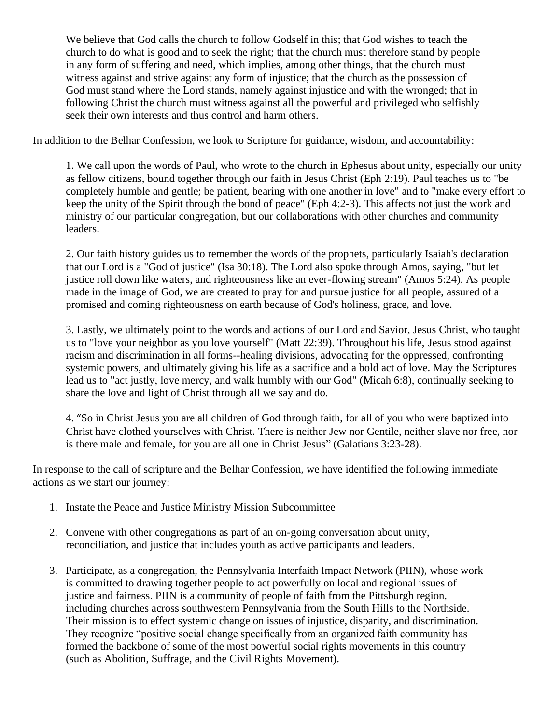We believe that God calls the church to follow Godself in this; that God wishes to teach the church to do what is good and to seek the right; that the church must therefore stand by people in any form of suffering and need, which implies, among other things, that the church must witness against and strive against any form of injustice; that the church as the possession of God must stand where the Lord stands, namely against injustice and with the wronged; that in following Christ the church must witness against all the powerful and privileged who selfishly seek their own interests and thus control and harm others.

In addition to the Belhar Confession, we look to Scripture for guidance, wisdom, and accountability:

1. We call upon the words of Paul, who wrote to the church in Ephesus about unity, especially our unity as fellow citizens, bound together through our faith in Jesus Christ (Eph 2:19). Paul teaches us to "be completely humble and gentle; be patient, bearing with one another in love" and to "make every effort to keep the unity of the Spirit through the bond of peace" (Eph 4:2-3). This affects not just the work and ministry of our particular congregation, but our collaborations with other churches and community leaders.

2. Our faith history guides us to remember the words of the prophets, particularly Isaiah's declaration that our Lord is a "God of justice" (Isa 30:18). The Lord also spoke through Amos, saying, "but let justice roll down like waters, and righteousness like an ever-flowing stream" (Amos 5:24). As people made in the image of God, we are created to pray for and pursue justice for all people, assured of a promised and coming righteousness on earth because of God's holiness, grace, and love.

3. Lastly, we ultimately point to the words and actions of our Lord and Savior, Jesus Christ, who taught us to "love your neighbor as you love yourself" (Matt 22:39). Throughout his life, Jesus stood against racism and discrimination in all forms--healing divisions, advocating for the oppressed, confronting systemic powers, and ultimately giving his life as a sacrifice and a bold act of love. May the Scriptures lead us to "act justly, love mercy, and walk humbly with our God" (Micah 6:8), continually seeking to share the love and light of Christ through all we say and do.

4. "So in Christ Jesus you are all children of God through faith, for all of you who were baptized into Christ have clothed yourselves with Christ. There is neither Jew nor Gentile, neither slave nor free, nor is there male and female, for you are all one in Christ Jesus" (Galatians 3:23-28).

In response to the call of scripture and the Belhar Confession, we have identified the following immediate actions as we start our journey:

- 1. Instate the Peace and Justice Ministry Mission Subcommittee
- 2. Convene with other congregations as part of an on-going conversation about unity, reconciliation, and justice that includes youth as active participants and leaders.
- 3. Participate, as a congregation, the Pennsylvania Interfaith Impact Network (PIIN), whose work is committed to drawing together people to act powerfully on local and regional issues of justice and fairness. PIIN is a community of people of faith from the Pittsburgh region, including churches across southwestern Pennsylvania from the South Hills to the Northside. Their mission is to effect systemic change on issues of injustice, disparity, and discrimination. They recognize "positive social change specifically from an organized faith community has formed the backbone of some of the most powerful social rights movements in this country (such as Abolition, Suffrage, and the Civil Rights Movement).